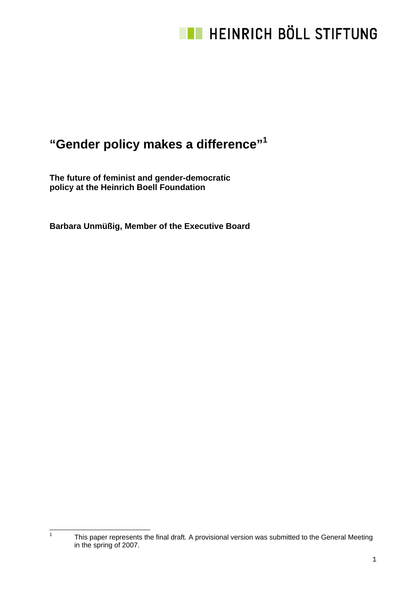### **"Gender policy makes a difference"1**

**The future of feminist and gender-democratic policy at the Heinrich Boell Foundation** 

|<br>1

**Barbara Unmüßig, Member of the Executive Board** 

This paper represents the final draft. A provisional version was submitted to the General Meeting in the spring of 2007.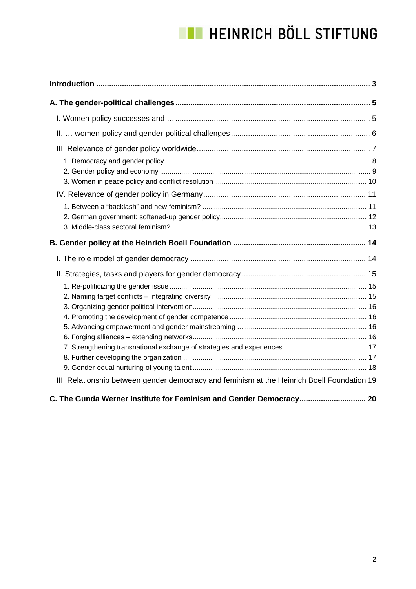| III. Relationship between gender democracy and feminism at the Heinrich Boell Foundation 19 |
|---------------------------------------------------------------------------------------------|
| C. The Gunda Werner Institute for Feminism and Gender Democracy 20                          |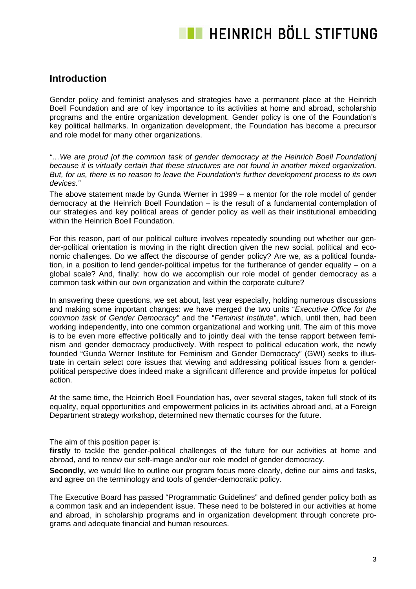### **Introduction**

Gender policy and feminist analyses and strategies have a permanent place at the Heinrich Boell Foundation and are of key importance to its activities at home and abroad, scholarship programs and the entire organization development. Gender policy is one of the Foundation's key political hallmarks. In organization development, the Foundation has become a precursor and role model for many other organizations.

*"…We are proud [of the common task of gender democracy at the Heinrich Boell Foundation] because it is virtually certain that these structures are not found in another mixed organization. But, for us, there is no reason to leave the Foundation's further development process to its own devices."*

The above statement made by Gunda Werner in 1999 – a mentor for the role model of gender democracy at the Heinrich Boell Foundation – is the result of a fundamental contemplation of our strategies and key political areas of gender policy as well as their institutional embedding within the Heinrich Boell Foundation.

For this reason, part of our political culture involves repeatedly sounding out whether our gender-political orientation is moving in the right direction given the new social, political and economic challenges. Do we affect the discourse of gender policy? Are we, as a political foundation, in a position to lend gender-political impetus for the furtherance of gender equality – on a global scale? And, finally: how do we accomplish our role model of gender democracy as a common task within our own organization and within the corporate culture?

In answering these questions, we set about, last year especially, holding numerous discussions and making some important changes: we have merged the two units "*Executive Office for the common task of Gender Democracy"* and the "*Feminist Institute"*, which, until then, had been working independently, into one common organizational and working unit. The aim of this move is to be even more effective politically and to jointly deal with the tense rapport between feminism and gender democracy productively. With respect to political education work, the newly founded "Gunda Werner Institute for Feminism and Gender Democracy" (GWI) seeks to illustrate in certain select core issues that viewing and addressing political issues from a genderpolitical perspective does indeed make a significant difference and provide impetus for political action.

At the same time, the Heinrich Boell Foundation has, over several stages, taken full stock of its equality, equal opportunities and empowerment policies in its activities abroad and, at a Foreign Department strategy workshop, determined new thematic courses for the future.

The aim of this position paper is:

**firstly** to tackle the gender-political challenges of the future for our activities at home and abroad, and to renew our self-image and/or our role model of gender democracy.

**Secondly,** we would like to outline our program focus more clearly, define our aims and tasks, and agree on the terminology and tools of gender-democratic policy.

The Executive Board has passed "Programmatic Guidelines" and defined gender policy both as a common task and an independent issue. These need to be bolstered in our activities at home and abroad, in scholarship programs and in organization development through concrete programs and adequate financial and human resources.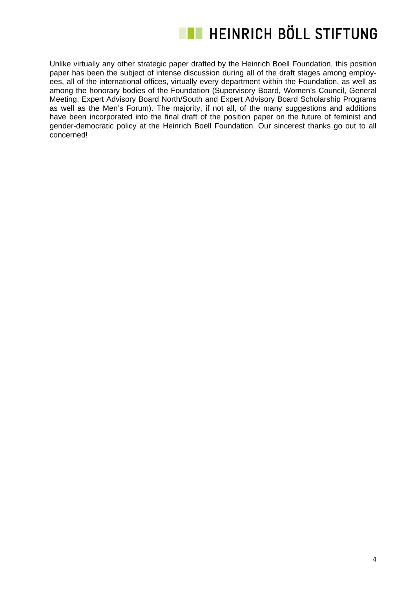

Unlike virtually any other strategic paper drafted by the Heinrich Boell Foundation, this position paper has been the subject of intense discussion during all of the draft stages among employees, all of the international offices, virtually every department within the Foundation, as well as among the honorary bodies of the Foundation (Supervisory Board, Women's Council, General Meeting, Expert Advisory Board North/South and Expert Advisory Board Scholarship Programs as well as the Men's Forum). The majority, if not all, of the many suggestions and additions have been incorporated into the final draft of the position paper on the future of feminist and gender-democratic policy at the Heinrich Boell Foundation. Our sincerest thanks go out to all concerned!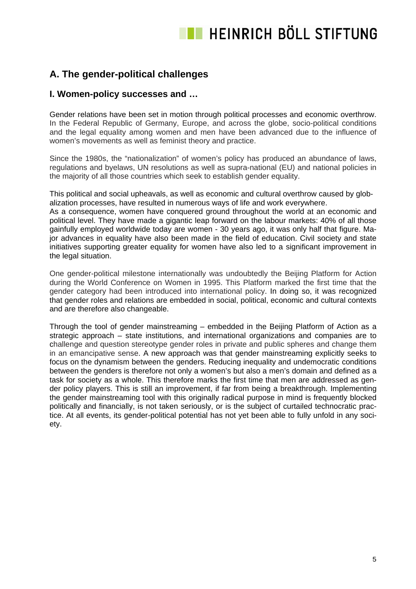### **A. The gender-political challenges**

### **I. Women-policy successes and …**

Gender relations have been set in motion through political processes and economic overthrow. In the Federal Republic of Germany, Europe, and across the globe, socio-political conditions and the legal equality among women and men have been advanced due to the influence of women's movements as well as feminist theory and practice.

Since the 1980s, the "nationalization" of women's policy has produced an abundance of laws, regulations and byelaws, UN resolutions as well as supra-national (EU) and national policies in the majority of all those countries which seek to establish gender equality.

This political and social upheavals, as well as economic and cultural overthrow caused by globalization processes, have resulted in numerous ways of life and work everywhere.

As a consequence, women have conquered ground throughout the world at an economic and political level. They have made a gigantic leap forward on the labour markets: 40% of all those gainfully employed worldwide today are women - 30 years ago, it was only half that figure. Major advances in equality have also been made in the field of education. Civil society and state initiatives supporting greater equality for women have also led to a significant improvement in the legal situation.

One gender-political milestone internationally was undoubtedly the Beijing Platform for Action during the World Conference on Women in 1995. This Platform marked the first time that the gender category had been introduced into international policy. In doing so, it was recognized that gender roles and relations are embedded in social, political, economic and cultural contexts and are therefore also changeable.

Through the tool of gender mainstreaming – embedded in the Beijing Platform of Action as a strategic approach – state institutions, and international organizations and companies are to challenge and question stereotype gender roles in private and public spheres and change them in an emancipative sense. A new approach was that gender mainstreaming explicitly seeks to focus on the dynamism between the genders. Reducing inequality and undemocratic conditions between the genders is therefore not only a women's but also a men's domain and defined as a task for society as a whole. This therefore marks the first time that men are addressed as gender policy players. This is still an improvement, if far from being a breakthrough. Implementing the gender mainstreaming tool with this originally radical purpose in mind is frequently blocked politically and financially, is not taken seriously, or is the subject of curtailed technocratic practice. At all events, its gender-political potential has not yet been able to fully unfold in any society.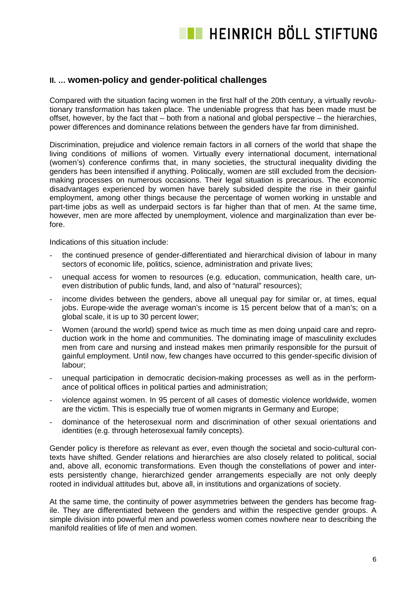### **II. … women-policy and gender-political challenges**

Compared with the situation facing women in the first half of the 20th century, a virtually revolutionary transformation has taken place. The undeniable progress that has been made must be offset, however, by the fact that – both from a national and global perspective – the hierarchies, power differences and dominance relations between the genders have far from diminished.

Discrimination, prejudice and violence remain factors in all corners of the world that shape the living conditions of millions of women. Virtually every international document, international (women's) conference confirms that, in many societies, the structural inequality dividing the genders has been intensified if anything. Politically, women are still excluded from the decisionmaking processes on numerous occasions. Their legal situation is precarious. The economic disadvantages experienced by women have barely subsided despite the rise in their gainful employment, among other things because the percentage of women working in unstable and part-time jobs as well as underpaid sectors is far higher than that of men. At the same time, however, men are more affected by unemployment, violence and marginalization than ever before.

Indications of this situation include:

- the continued presence of gender-differentiated and hierarchical division of labour in many sectors of economic life, politics, science, administration and private lives;
- unequal access for women to resources (e.g. education, communication, health care, uneven distribution of public funds, land, and also of "natural" resources);
- income divides between the genders, above all unequal pay for similar or, at times, equal jobs. Europe-wide the average woman's income is 15 percent below that of a man's; on a global scale, it is up to 30 percent lower;
- Women (around the world) spend twice as much time as men doing unpaid care and reproduction work in the home and communities. The dominating image of masculinity excludes men from care and nursing and instead makes men primarily responsible for the pursuit of gainful employment. Until now, few changes have occurred to this gender-specific division of labour;
- unequal participation in democratic decision-making processes as well as in the performance of political offices in political parties and administration;
- violence against women. In 95 percent of all cases of domestic violence worldwide, women are the victim. This is especially true of women migrants in Germany and Europe;
- dominance of the heterosexual norm and discrimination of other sexual orientations and identities (e.g. through heterosexual family concepts).

Gender policy is therefore as relevant as ever, even though the societal and socio-cultural contexts have shifted. Gender relations and hierarchies are also closely related to political, social and, above all, economic transformations. Even though the constellations of power and interests persistently change, hierarchized gender arrangements especially are not only deeply rooted in individual attitudes but, above all, in institutions and organizations of society.

At the same time, the continuity of power asymmetries between the genders has become fragile. They are differentiated between the genders and within the respective gender groups. A simple division into powerful men and powerless women comes nowhere near to describing the manifold realities of life of men and women.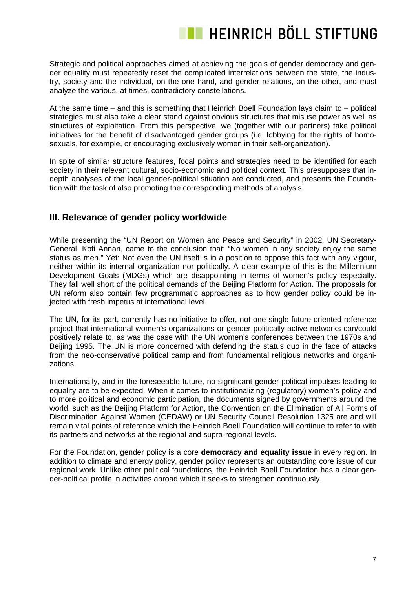Strategic and political approaches aimed at achieving the goals of gender democracy and gender equality must repeatedly reset the complicated interrelations between the state, the industry, society and the individual, on the one hand, and gender relations, on the other, and must analyze the various, at times, contradictory constellations.

At the same time – and this is something that Heinrich Boell Foundation lays claim to – political strategies must also take a clear stand against obvious structures that misuse power as well as structures of exploitation. From this perspective, we (together with our partners) take political initiatives for the benefit of disadvantaged gender groups (i.e. lobbying for the rights of homosexuals, for example, or encouraging exclusively women in their self-organization).

In spite of similar structure features, focal points and strategies need to be identified for each society in their relevant cultural, socio-economic and political context. This presupposes that indepth analyses of the local gender-political situation are conducted, and presents the Foundation with the task of also promoting the corresponding methods of analysis.

### **III. Relevance of gender policy worldwide**

While presenting the "UN Report on Women and Peace and Security" in 2002, UN Secretary-General, Kofi Annan, came to the conclusion that: "No women in any society enjoy the same status as men." Yet: Not even the UN itself is in a position to oppose this fact with any vigour, neither within its internal organization nor politically. A clear example of this is the Millennium Development Goals (MDGs) which are disappointing in terms of women's policy especially. They fall well short of the political demands of the Beijing Platform for Action. The proposals for UN reform also contain few programmatic approaches as to how gender policy could be injected with fresh impetus at international level.

The UN, for its part, currently has no initiative to offer, not one single future-oriented reference project that international women's organizations or gender politically active networks can/could positively relate to, as was the case with the UN women's conferences between the 1970s and Beijing 1995. The UN is more concerned with defending the status quo in the face of attacks from the neo-conservative political camp and from fundamental religious networks and organizations.

Internationally, and in the foreseeable future, no significant gender-political impulses leading to equality are to be expected. When it comes to institutionalizing (regulatory) women's policy and to more political and economic participation, the documents signed by governments around the world, such as the Beijing Platform for Action, the Convention on the Elimination of All Forms of Discrimination Against Women (CEDAW) or UN Security Council Resolution 1325 are and will remain vital points of reference which the Heinrich Boell Foundation will continue to refer to with its partners and networks at the regional and supra-regional levels.

For the Foundation, gender policy is a core **democracy and equality issue** in every region. In addition to climate and energy policy, gender policy represents an outstanding core issue of our regional work. Unlike other political foundations, the Heinrich Boell Foundation has a clear gender-political profile in activities abroad which it seeks to strengthen continuously.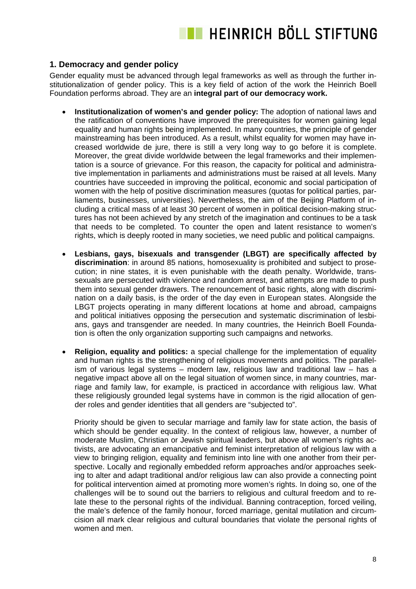### **1. Democracy and gender policy**

Gender equality must be advanced through legal frameworks as well as through the further institutionalization of gender policy. This is a key field of action of the work the Heinrich Boell Foundation performs abroad. They are an **integral part of our democracy work.** 

- **Institutionalization of women's and gender policy:** The adoption of national laws and the ratification of conventions have improved the prerequisites for women gaining legal equality and human rights being implemented. In many countries, the principle of gender mainstreaming has been introduced. As a result, whilst equality for women may have increased worldwide de jure, there is still a very long way to go before it is complete. Moreover, the great divide worldwide between the legal frameworks and their implementation is a source of grievance. For this reason, the capacity for political and administrative implementation in parliaments and administrations must be raised at all levels. Many countries have succeeded in improving the political, economic and social participation of women with the help of positive discrimination measures (quotas for political parties, parliaments, businesses, universities). Nevertheless, the aim of the Beijing Platform of including a critical mass of at least 30 percent of women in political decision-making structures has not been achieved by any stretch of the imagination and continues to be a task that needs to be completed. To counter the open and latent resistance to women's rights, which is deeply rooted in many societies, we need public and political campaigns.
- **Lesbians, gays, bisexuals and transgender (LBGT) are specifically affected by discrimination**: in around 85 nations, homosexuality is prohibited and subject to prosecution; in nine states, it is even punishable with the death penalty. Worldwide, transsexuals are persecuted with violence and random arrest, and attempts are made to push them into sexual gender drawers. The renouncement of basic rights, along with discrimination on a daily basis, is the order of the day even in European states. Alongside the LBGT projects operating in many different locations at home and abroad, campaigns and political initiatives opposing the persecution and systematic discrimination of lesbians, gays and transgender are needed. In many countries, the Heinrich Boell Foundation is often the only organization supporting such campaigns and networks.
- **Religion, equality and politics:** a special challenge for the implementation of equality and human rights is the strengthening of religious movements and politics. The parallelism of various legal systems – modern law, religious law and traditional law – has a negative impact above all on the legal situation of women since, in many countries, marriage and family law, for example, is practiced in accordance with religious law. What these religiously grounded legal systems have in common is the rigid allocation of gender roles and gender identities that all genders are "subjected to".

Priority should be given to secular marriage and family law for state action, the basis of which should be gender equality. In the context of religious law, however, a number of moderate Muslim, Christian or Jewish spiritual leaders, but above all women's rights activists, are advocating an emancipative and feminist interpretation of religious law with a view to bringing religion, equality and feminism into line with one another from their perspective. Locally and regionally embedded reform approaches and/or approaches seeking to alter and adapt traditional and/or religious law can also provide a connecting point for political intervention aimed at promoting more women's rights. In doing so, one of the challenges will be to sound out the barriers to religious and cultural freedom and to relate these to the personal rights of the individual. Banning contraception, forced veiling, the male's defence of the family honour, forced marriage, genital mutilation and circumcision all mark clear religious and cultural boundaries that violate the personal rights of women and men.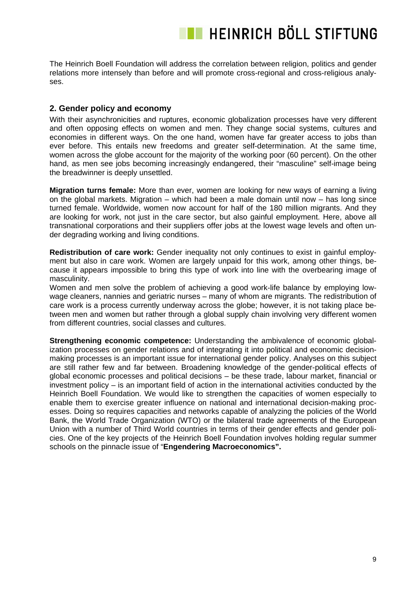The Heinrich Boell Foundation will address the correlation between religion, politics and gender relations more intensely than before and will promote cross-regional and cross-religious analyses.

#### **2. Gender policy and economy**

With their asynchronicities and ruptures, economic globalization processes have very different and often opposing effects on women and men. They change social systems, cultures and economies in different ways. On the one hand, women have far greater access to jobs than ever before. This entails new freedoms and greater self-determination. At the same time, women across the globe account for the majority of the working poor (60 percent). On the other hand, as men see jobs becoming increasingly endangered, their "masculine" self-image being the breadwinner is deeply unsettled.

**Migration turns female:** More than ever, women are looking for new ways of earning a living on the global markets. Migration – which had been a male domain until now – has long since turned female. Worldwide, women now account for half of the 180 million migrants. And they are looking for work, not just in the care sector, but also gainful employment. Here, above all transnational corporations and their suppliers offer jobs at the lowest wage levels and often under degrading working and living conditions.

**Redistribution of care work:** Gender inequality not only continues to exist in gainful employment but also in care work. Women are largely unpaid for this work, among other things, because it appears impossible to bring this type of work into line with the overbearing image of masculinity.

Women and men solve the problem of achieving a good work-life balance by employing lowwage cleaners, nannies and geriatric nurses – many of whom are migrants. The redistribution of care work is a process currently underway across the globe; however, it is not taking place between men and women but rather through a global supply chain involving very different women from different countries, social classes and cultures.

**Strengthening economic competence:** Understanding the ambivalence of economic globalization processes on gender relations and of integrating it into political and economic decisionmaking processes is an important issue for international gender policy. Analyses on this subject are still rather few and far between. Broadening knowledge of the gender-political effects of global economic processes and political decisions – be these trade, labour market, financial or investment policy – is an important field of action in the international activities conducted by the Heinrich Boell Foundation. We would like to strengthen the capacities of women especially to enable them to exercise greater influence on national and international decision-making processes. Doing so requires capacities and networks capable of analyzing the policies of the World Bank, the World Trade Organization (WTO) or the bilateral trade agreements of the European Union with a number of Third World countries in terms of their gender effects and gender policies. One of the key projects of the Heinrich Boell Foundation involves holding regular summer schools on the pinnacle issue of "**Engendering Macroeconomics".**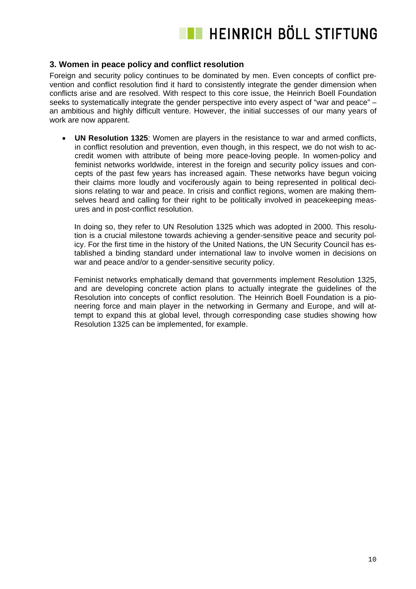#### **3. Women in peace policy and conflict resolution**

Foreign and security policy continues to be dominated by men. Even concepts of conflict prevention and conflict resolution find it hard to consistently integrate the gender dimension when conflicts arise and are resolved. With respect to this core issue, the Heinrich Boell Foundation seeks to systematically integrate the gender perspective into every aspect of "war and peace" – an ambitious and highly difficult venture. However, the initial successes of our many years of work are now apparent.

• **UN Resolution 1325**: Women are players in the resistance to war and armed conflicts, in conflict resolution and prevention, even though, in this respect, we do not wish to accredit women with attribute of being more peace-loving people. In women-policy and feminist networks worldwide, interest in the foreign and security policy issues and concepts of the past few years has increased again. These networks have begun voicing their claims more loudly and vociferously again to being represented in political decisions relating to war and peace. In crisis and conflict regions, women are making themselves heard and calling for their right to be politically involved in peacekeeping measures and in post-conflict resolution.

In doing so, they refer to UN Resolution 1325 which was adopted in 2000. This resolution is a crucial milestone towards achieving a gender-sensitive peace and security policy. For the first time in the history of the United Nations, the UN Security Council has established a binding standard under international law to involve women in decisions on war and peace and/or to a gender-sensitive security policy.

Feminist networks emphatically demand that governments implement Resolution 1325, and are developing concrete action plans to actually integrate the guidelines of the Resolution into concepts of conflict resolution. The Heinrich Boell Foundation is a pioneering force and main player in the networking in Germany and Europe, and will attempt to expand this at global level, through corresponding case studies showing how Resolution 1325 can be implemented, for example.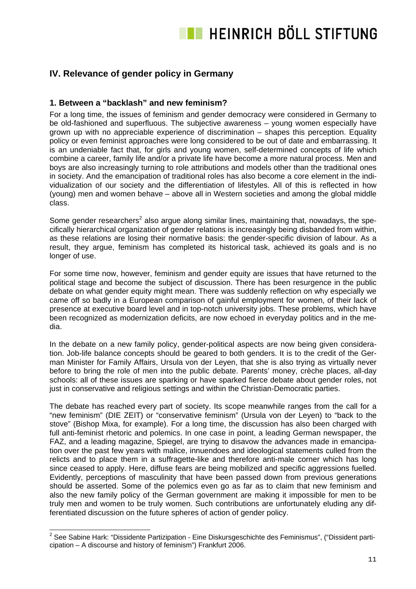### **IV. Relevance of gender policy in Germany**

#### **1. Between a "backlash" and new feminism?**

For a long time, the issues of feminism and gender democracy were considered in Germany to be old-fashioned and superfluous. The subjective awareness – young women especially have grown up with no appreciable experience of discrimination – shapes this perception. Equality policy or even feminist approaches were long considered to be out of date and embarrassing. It is an undeniable fact that, for girls and young women, self-determined concepts of life which combine a career, family life and/or a private life have become a more natural process. Men and boys are also increasingly turning to role attributions and models other than the traditional ones in society. And the emancipation of traditional roles has also become a core element in the individualization of our society and the differentiation of lifestyles. All of this is reflected in how (young) men and women behave – above all in Western societies and among the global middle class.

Some gender researchers<sup>2</sup> also argue along similar lines, maintaining that, nowadays, the specifically hierarchical organization of gender relations is increasingly being disbanded from within, as these relations are losing their normative basis: the gender-specific division of labour. As a result, they argue, feminism has completed its historical task, achieved its goals and is no longer of use.

For some time now, however, feminism and gender equity are issues that have returned to the political stage and become the subject of discussion. There has been resurgence in the public debate on what gender equity might mean. There was suddenly reflection on why especially we came off so badly in a European comparison of gainful employment for women, of their lack of presence at executive board level and in top-notch university jobs. These problems, which have been recognized as modernization deficits, are now echoed in everyday politics and in the media.

In the debate on a new family policy, gender-political aspects are now being given consideration. Job-life balance concepts should be geared to both genders. It is to the credit of the German Minister for Family Affairs, Ursula von der Leyen, that she is also trying as virtually never before to bring the role of men into the public debate. Parents' money, crèche places, all-day schools: all of these issues are sparking or have sparked fierce debate about gender roles, not just in conservative and religious settings and within the Christian-Democratic parties.

The debate has reached every part of society. Its scope meanwhile ranges from the call for a "new feminism" (DIE ZEIT) or "conservative feminism" (Ursula von der Leyen) to "back to the stove" (Bishop Mixa, for example). For a long time, the discussion has also been charged with full anti-feminist rhetoric and polemics. In one case in point, a leading German newspaper, the FAZ, and a leading magazine, Spiegel, are trying to disavow the advances made in emancipation over the past few years with malice, innuendoes and ideological statements culled from the relicts and to place them in a suffragette-like and therefore anti-male corner which has long since ceased to apply. Here, diffuse fears are being mobilized and specific aggressions fuelled. Evidently, perceptions of masculinity that have been passed down from previous generations should be asserted. Some of the polemics even go as far as to claim that new feminism and also the new family policy of the German government are making it impossible for men to be truly men and women to be truly women. Such contributions are unfortunately eluding any differentiated discussion on the future spheres of action of gender policy.

\_\_\_\_\_\_\_\_\_\_\_\_\_\_\_\_\_\_\_\_\_\_\_\_\_\_\_\_\_\_\_\_\_\_<br><sup>2</sup> See Sabine Hark: "Dissidente Partizipation - Eine Diskursgeschichte des Feminismus", ("Dissident participation – A discourse and history of feminism") Frankfurt 2006.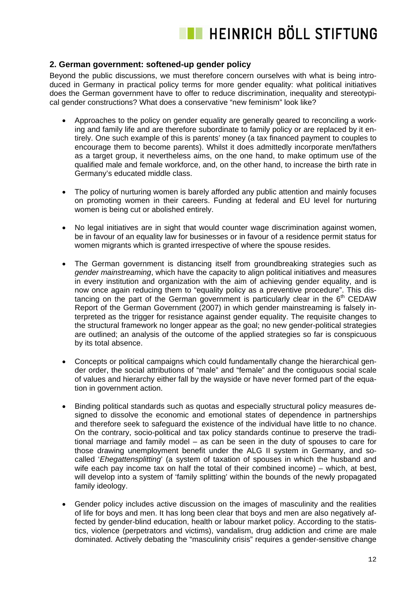### **2. German government: softened-up gender policy**

Beyond the public discussions, we must therefore concern ourselves with what is being introduced in Germany in practical policy terms for more gender equality: what political initiatives does the German government have to offer to reduce discrimination, inequality and stereotypical gender constructions? What does a conservative "new feminism" look like?

- Approaches to the policy on gender equality are generally geared to reconciling a working and family life and are therefore subordinate to family policy or are replaced by it entirely. One such example of this is parents' money (a tax financed payment to couples to encourage them to become parents). Whilst it does admittedly incorporate men/fathers as a target group, it nevertheless aims, on the one hand, to make optimum use of the qualified male and female workforce, and, on the other hand, to increase the birth rate in Germany's educated middle class.
- The policy of nurturing women is barely afforded any public attention and mainly focuses on promoting women in their careers. Funding at federal and EU level for nurturing women is being cut or abolished entirely.
- No legal initiatives are in sight that would counter wage discrimination against women, be in favour of an equality law for businesses or in favour of a residence permit status for women migrants which is granted irrespective of where the spouse resides.
- The German government is distancing itself from groundbreaking strategies such as *gender mainstreaming*, which have the capacity to align political initiatives and measures in every institution and organization with the aim of achieving gender equality, and is now once again reducing them to "equality policy as a preventive procedure". This distancing on the part of the German government is particularly clear in the  $6<sup>th</sup>$  CEDAW Report of the German Government (2007) in which gender mainstreaming is falsely interpreted as the trigger for resistance against gender equality. The requisite changes to the structural framework no longer appear as the goal; no new gender-political strategies are outlined; an analysis of the outcome of the applied strategies so far is conspicuous by its total absence.
- Concepts or political campaigns which could fundamentally change the hierarchical gender order, the social attributions of "male" and "female" and the contiguous social scale of values and hierarchy either fall by the wayside or have never formed part of the equation in government action.
- Binding political standards such as quotas and especially structural policy measures designed to dissolve the economic and emotional states of dependence in partnerships and therefore seek to safeguard the existence of the individual have little to no chance. On the contrary, socio-political and tax policy standards continue to preserve the traditional marriage and family model – as can be seen in the duty of spouses to care for those drawing unemployment benefit under the ALG II system in Germany, and socalled '*Ehegattensplitting*' (a system of taxation of spouses in which the husband and wife each pay income tax on half the total of their combined income) – which, at best, will develop into a system of 'family splitting' within the bounds of the newly propagated family ideology.
- Gender policy includes active discussion on the images of masculinity and the realities of life for boys and men. It has long been clear that boys and men are also negatively affected by gender-blind education, health or labour market policy. According to the statistics, violence (perpetrators and victims), vandalism, drug addiction and crime are male dominated. Actively debating the "masculinity crisis" requires a gender-sensitive change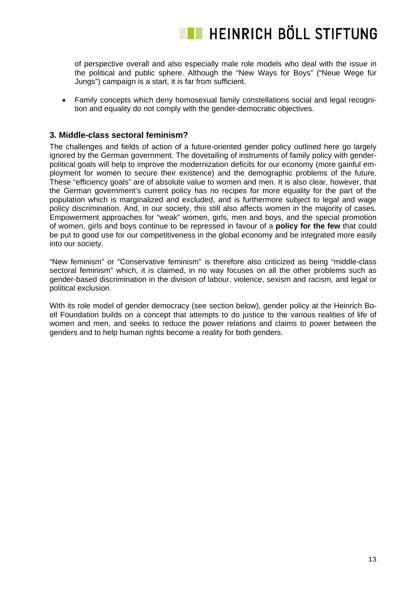of perspective overall and also especially male role models who deal with the issue in the political and public sphere. Although the "New Ways for Boys" ("Neue Wege für Jungs") campaign is a start, it is far from sufficient.

• Family concepts which deny homosexual family constellations social and legal recognition and equality do not comply with the gender-democratic objectives.

#### **3. Middle-class sectoral feminism?**

The challenges and fields of action of a future-oriented gender policy outlined here go largely ignored by the German government. The dovetailing of instruments of family policy with genderpolitical goals will help to improve the modernization deficits for our economy (more gainful employment for women to secure their existence) and the demographic problems of the future. These "efficiency goals" are of absolute value to women and men. It is also clear, however, that the German government's current policy has no recipes for more equality for the part of the population which is marginalized and excluded, and is furthermore subject to legal and wage policy discrimination. And, in our society, this still also affects women in the majority of cases. Empowerment approaches for "weak" women, girls, men and boys, and the special promotion of women, girls and boys continue to be repressed in favour of a **policy for the few** that could be put to good use for our competitiveness in the global economy and be integrated more easily into our society.

"New feminism" or "Conservative feminism" is therefore also criticized as being "middle-class sectoral feminism" which, it is claimed, in no way focuses on all the other problems such as gender-based discrimination in the division of labour, violence, sexism and racism, and legal or political exclusion.

With its role model of gender democracy (see section below), gender policy at the Heinrich Boell Foundation builds on a concept that attempts to do justice to the various realities of life of women and men, and seeks to reduce the power relations and claims to power between the genders and to help human rights become a reality for both genders.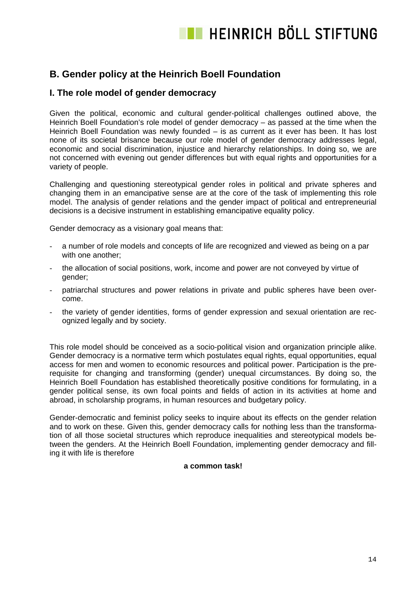### **B. Gender policy at the Heinrich Boell Foundation**

### **I. The role model of gender democracy**

Given the political, economic and cultural gender-political challenges outlined above, the Heinrich Boell Foundation's role model of gender democracy – as passed at the time when the Heinrich Boell Foundation was newly founded – is as current as it ever has been. It has lost none of its societal brisance because our role model of gender democracy addresses legal, economic and social discrimination, injustice and hierarchy relationships. In doing so, we are not concerned with evening out gender differences but with equal rights and opportunities for a variety of people.

Challenging and questioning stereotypical gender roles in political and private spheres and changing them in an emancipative sense are at the core of the task of implementing this role model. The analysis of gender relations and the gender impact of political and entrepreneurial decisions is a decisive instrument in establishing emancipative equality policy.

Gender democracy as a visionary goal means that:

- a number of role models and concepts of life are recognized and viewed as being on a par with one another;
- the allocation of social positions, work, income and power are not conveyed by virtue of gender;
- patriarchal structures and power relations in private and public spheres have been overcome.
- the variety of gender identities, forms of gender expression and sexual orientation are recognized legally and by society.

This role model should be conceived as a socio-political vision and organization principle alike. Gender democracy is a normative term which postulates equal rights, equal opportunities, equal access for men and women to economic resources and political power. Participation is the prerequisite for changing and transforming (gender) unequal circumstances. By doing so, the Heinrich Boell Foundation has established theoretically positive conditions for formulating, in a gender political sense, its own focal points and fields of action in its activities at home and abroad, in scholarship programs, in human resources and budgetary policy.

Gender-democratic and feminist policy seeks to inquire about its effects on the gender relation and to work on these. Given this, gender democracy calls for nothing less than the transformation of all those societal structures which reproduce inequalities and stereotypical models between the genders. At the Heinrich Boell Foundation, implementing gender democracy and filling it with life is therefore

#### **a common task!**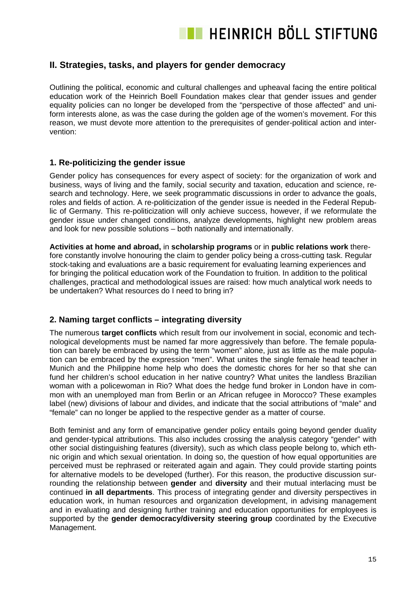

### **II. Strategies, tasks, and players for gender democracy**

Outlining the political, economic and cultural challenges and upheaval facing the entire political education work of the Heinrich Boell Foundation makes clear that gender issues and gender equality policies can no longer be developed from the "perspective of those affected" and uniform interests alone, as was the case during the golden age of the women's movement. For this reason, we must devote more attention to the prerequisites of gender-political action and intervention:

#### **1. Re-politicizing the gender issue**

Gender policy has consequences for every aspect of society: for the organization of work and business, ways of living and the family, social security and taxation, education and science, research and technology. Here, we seek programmatic discussions in order to advance the goals, roles and fields of action. A re-politicization of the gender issue is needed in the Federal Republic of Germany. This re-politicization will only achieve success, however, if we reformulate the gender issue under changed conditions, analyze developments, highlight new problem areas and look for new possible solutions – both nationally and internationally.

**Activities at home and abroad,** in **scholarship programs** or in **public relations work** therefore constantly involve honouring the claim to gender policy being a cross-cutting task. Regular stock-taking and evaluations are a basic requirement for evaluating learning experiences and for bringing the political education work of the Foundation to fruition. In addition to the political challenges, practical and methodological issues are raised: how much analytical work needs to be undertaken? What resources do I need to bring in?

### **2. Naming target conflicts – integrating diversity**

The numerous **target conflicts** which result from our involvement in social, economic and technological developments must be named far more aggressively than before. The female population can barely be embraced by using the term "women" alone, just as little as the male population can be embraced by the expression "men". What unites the single female head teacher in Munich and the Philippine home help who does the domestic chores for her so that she can fund her children's school education in her native country? What unites the landless Brazilian woman with a policewoman in Rio? What does the hedge fund broker in London have in common with an unemployed man from Berlin or an African refugee in Morocco? These examples label (new) divisions of labour and divides, and indicate that the social attributions of "male" and "female" can no longer be applied to the respective gender as a matter of course.

Both feminist and any form of emancipative gender policy entails going beyond gender duality and gender-typical attributions. This also includes crossing the analysis category "gender" with other social distinguishing features (diversity), such as which class people belong to, which ethnic origin and which sexual orientation. In doing so, the question of how equal opportunities are perceived must be rephrased or reiterated again and again. They could provide starting points for alternative models to be developed (further). For this reason, the productive discussion surrounding the relationship between **gender** and **diversity** and their mutual interlacing must be continued **in all departments**. This process of integrating gender and diversity perspectives in education work, in human resources and organization development, in advising management and in evaluating and designing further training and education opportunities for employees is supported by the **gender democracy/diversity steering group** coordinated by the Executive Management.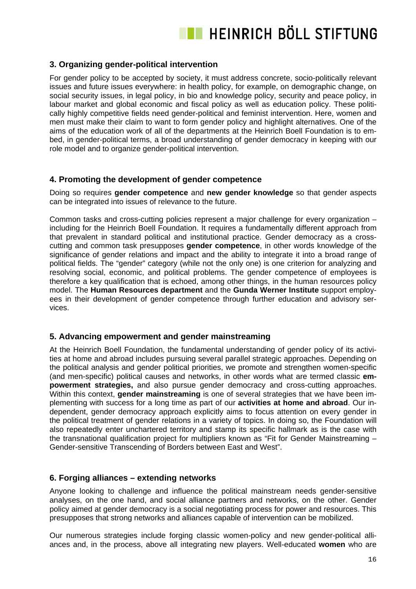

#### **3. Organizing gender-political intervention**

For gender policy to be accepted by society, it must address concrete, socio-politically relevant issues and future issues everywhere: in health policy, for example, on demographic change, on social security issues, in legal policy, in bio and knowledge policy, security and peace policy, in labour market and global economic and fiscal policy as well as education policy. These politically highly competitive fields need gender-political and feminist intervention. Here, women and men must make their claim to want to form gender policy and highlight alternatives. One of the aims of the education work of all of the departments at the Heinrich Boell Foundation is to embed, in gender-political terms, a broad understanding of gender democracy in keeping with our role model and to organize gender-political intervention.

#### **4. Promoting the development of gender competence**

Doing so requires **gender competence** and **new gender knowledge** so that gender aspects can be integrated into issues of relevance to the future.

Common tasks and cross-cutting policies represent a major challenge for every organization – including for the Heinrich Boell Foundation. It requires a fundamentally different approach from that prevalent in standard political and institutional practice. Gender democracy as a crosscutting and common task presupposes **gender competence**, in other words knowledge of the significance of gender relations and impact and the ability to integrate it into a broad range of political fields. The "gender" category (while not the only one) is one criterion for analyzing and resolving social, economic, and political problems. The gender competence of employees is therefore a key qualification that is echoed, among other things, in the human resources policy model. The **Human Resources department** and the **Gunda Werner Institute** support employees in their development of gender competence through further education and advisory services.

### **5. Advancing empowerment and gender mainstreaming**

At the Heinrich Boell Foundation, the fundamental understanding of gender policy of its activities at home and abroad includes pursuing several parallel strategic approaches. Depending on the political analysis and gender political priorities, we promote and strengthen women-specific (and men-specific) political causes and networks, in other words what are termed classic **empowerment strategies,** and also pursue gender democracy and cross-cutting approaches. Within this context, **gender mainstreaming** is one of several strategies that we have been implementing with success for a long time as part of our **activities at home and abroad**. Our independent, gender democracy approach explicitly aims to focus attention on every gender in the political treatment of gender relations in a variety of topics. In doing so, the Foundation will also repeatedly enter unchartered territory and stamp its specific hallmark as is the case with the transnational qualification project for multipliers known as "Fit for Gender Mainstreaming – Gender-sensitive Transcending of Borders between East and West".

#### **6. Forging alliances – extending networks**

Anyone looking to challenge and influence the political mainstream needs gender-sensitive analyses, on the one hand, and social alliance partners and networks, on the other. Gender policy aimed at gender democracy is a social negotiating process for power and resources. This presupposes that strong networks and alliances capable of intervention can be mobilized.

Our numerous strategies include forging classic women-policy and new gender-political alliances and, in the process, above all integrating new players. Well-educated **women** who are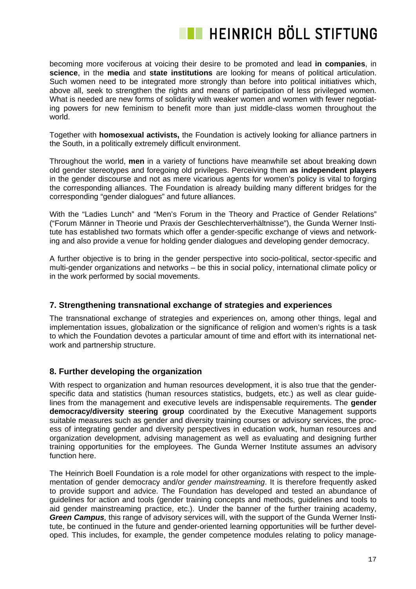becoming more vociferous at voicing their desire to be promoted and lead **in companies**, in **science**, in the **media** and **state institutions** are looking for means of political articulation. Such women need to be integrated more strongly than before into political initiatives which, above all, seek to strengthen the rights and means of participation of less privileged women. What is needed are new forms of solidarity with weaker women and women with fewer negotiating powers for new feminism to benefit more than just middle-class women throughout the world.

Together with **homosexual activists,** the Foundation is actively looking for alliance partners in the South, in a politically extremely difficult environment.

Throughout the world, **men** in a variety of functions have meanwhile set about breaking down old gender stereotypes and foregoing old privileges. Perceiving them **as independent players** in the gender discourse and not as mere vicarious agents for women's policy is vital to forging the corresponding alliances. The Foundation is already building many different bridges for the corresponding "gender dialogues" and future alliances.

With the "Ladies Lunch" and "Men's Forum in the Theory and Practice of Gender Relations" ("Forum Männer in Theorie und Praxis der Geschlechterverhältnisse"), the Gunda Werner Institute has established two formats which offer a gender-specific exchange of views and networking and also provide a venue for holding gender dialogues and developing gender democracy.

A further objective is to bring in the gender perspective into socio-political, sector-specific and multi-gender organizations and networks – be this in social policy, international climate policy or in the work performed by social movements.

### **7. Strengthening transnational exchange of strategies and experiences**

The transnational exchange of strategies and experiences on, among other things, legal and implementation issues, globalization or the significance of religion and women's rights is a task to which the Foundation devotes a particular amount of time and effort with its international network and partnership structure.

### **8. Further developing the organization**

With respect to organization and human resources development, it is also true that the genderspecific data and statistics (human resources statistics, budgets, etc.) as well as clear guidelines from the management and executive levels are indispensable requirements. The **gender democracy/diversity steering group** coordinated by the Executive Management supports suitable measures such as gender and diversity training courses or advisory services, the process of integrating gender and diversity perspectives in education work, human resources and organization development, advising management as well as evaluating and designing further training opportunities for the employees. The Gunda Werner Institute assumes an advisory function here.

The Heinrich Boell Foundation is a role model for other organizations with respect to the implementation of gender democracy and/or *gender mainstreaming*. It is therefore frequently asked to provide support and advice. The Foundation has developed and tested an abundance of guidelines for action and tools (gender training concepts and methods, guidelines and tools to aid gender mainstreaming practice, etc.). Under the banner of the further training academy, *Green Campus,* this range of advisory services will, with the support of the Gunda Werner Institute, be continued in the future and gender-oriented learning opportunities will be further developed. This includes, for example, the gender competence modules relating to policy manage-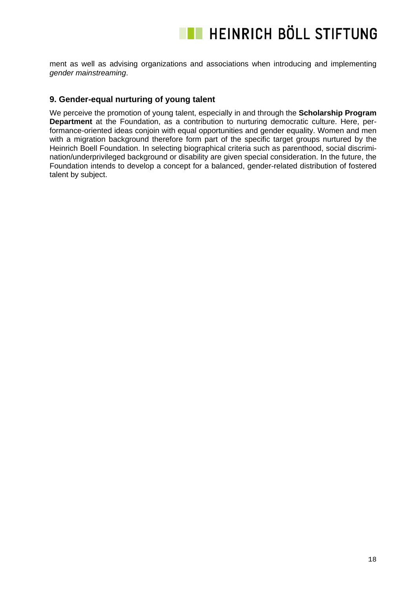ment as well as advising organizations and associations when introducing and implementing *gender mainstreaming*.

#### **9. Gender-equal nurturing of young talent**

We perceive the promotion of young talent, especially in and through the **Scholarship Program Department** at the Foundation, as a contribution to nurturing democratic culture. Here, performance-oriented ideas conjoin with equal opportunities and gender equality. Women and men with a migration background therefore form part of the specific target groups nurtured by the Heinrich Boell Foundation. In selecting biographical criteria such as parenthood, social discrimination/underprivileged background or disability are given special consideration. In the future, the Foundation intends to develop a concept for a balanced, gender-related distribution of fostered talent by subject.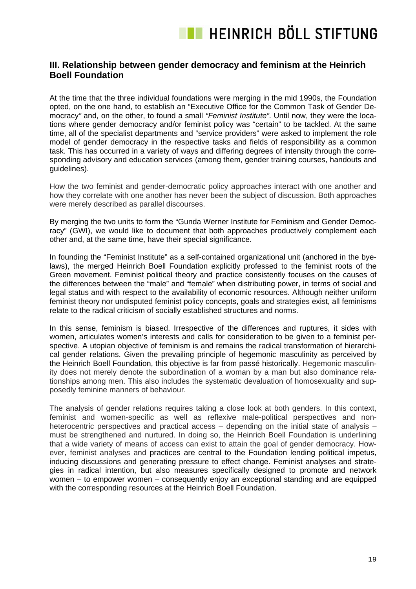### **III. Relationship between gender democracy and feminism at the Heinrich Boell Foundation**

At the time that the three individual foundations were merging in the mid 1990s, the Foundation opted, on the one hand, to establish an "Executive Office for the Common Task of Gender Democracy*"* and, on the other, to found a small *"Feminist Institute"*. Until now, they were the locations where gender democracy and/or feminist policy was "certain" to be tackled. At the same time, all of the specialist departments and "service providers" were asked to implement the role model of gender democracy in the respective tasks and fields of responsibility as a common task. This has occurred in a variety of ways and differing degrees of intensity through the corresponding advisory and education services (among them, gender training courses, handouts and guidelines).

How the two feminist and gender-democratic policy approaches interact with one another and how they correlate with one another has never been the subject of discussion. Both approaches were merely described as parallel discourses.

By merging the two units to form the "Gunda Werner Institute for Feminism and Gender Democracy" (GWI), we would like to document that both approaches productively complement each other and, at the same time, have their special significance.

In founding the "Feminist Institute" as a self-contained organizational unit (anchored in the byelaws), the merged Heinrich Boell Foundation explicitly professed to the feminist roots of the Green movement. Feminist political theory and practice consistently focuses on the causes of the differences between the "male" and "female" when distributing power, in terms of social and legal status and with respect to the availability of economic resources. Although neither uniform feminist theory nor undisputed feminist policy concepts, goals and strategies exist, all feminisms relate to the radical criticism of socially established structures and norms.

In this sense, feminism is biased. Irrespective of the differences and ruptures, it sides with women, articulates women's interests and calls for consideration to be given to a feminist perspective. A utopian objective of feminism is and remains the radical transformation of hierarchical gender relations. Given the prevailing principle of hegemonic masculinity as perceived by the Heinrich Boell Foundation, this objective is far from passé historically. Hegemonic masculinity does not merely denote the subordination of a woman by a man but also dominance relationships among men. This also includes the systematic devaluation of homosexuality and supposedly feminine manners of behaviour.

The analysis of gender relations requires taking a close look at both genders. In this context, feminist and women-specific as well as reflexive male-political perspectives and nonheterocentric perspectives and practical access – depending on the initial state of analysis – must be strengthened and nurtured. In doing so, the Heinrich Boell Foundation is underlining that a wide variety of means of access can exist to attain the goal of gender democracy. However, feminist analyses and practices are central to the Foundation lending political impetus, inducing discussions and generating pressure to effect change. Feminist analyses and strategies in radical intention, but also measures specifically designed to promote and network women – to empower women – consequently enjoy an exceptional standing and are equipped with the corresponding resources at the Heinrich Boell Foundation.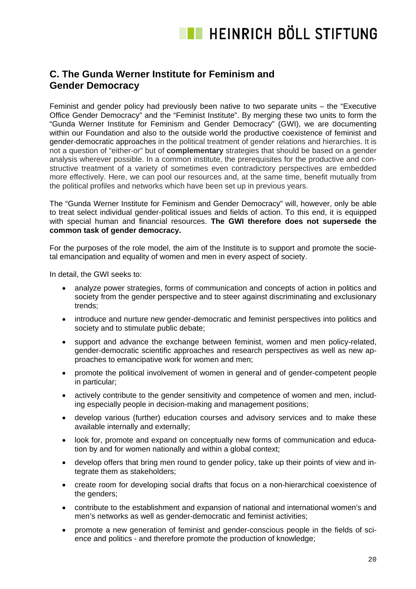### **C. The Gunda Werner Institute for Feminism and Gender Democracy**

Feminist and gender policy had previously been native to two separate units – the "Executive Office Gender Democracy" and the "Feminist Institute". By merging these two units to form the "Gunda Werner Institute for Feminism and Gender Democracy" (GWI), we are documenting within our Foundation and also to the outside world the productive coexistence of feminist and gender-democratic approaches in the political treatment of gender relations and hierarchies. It is not a question of "either-or" but of **complementary** strategies that should be based on a gender analysis wherever possible. In a common institute, the prerequisites for the productive and constructive treatment of a variety of sometimes even contradictory perspectives are embedded more effectively. Here, we can pool our resources and, at the same time, benefit mutually from the political profiles and networks which have been set up in previous years.

The "Gunda Werner Institute for Feminism and Gender Democracy" will, however, only be able to treat select individual gender-political issues and fields of action. To this end, it is equipped with special human and financial resources. **The GWI therefore does not supersede the common task of gender democracy.**

For the purposes of the role model, the aim of the Institute is to support and promote the societal emancipation and equality of women and men in every aspect of society.

In detail, the GWI seeks to:

- analyze power strategies, forms of communication and concepts of action in politics and society from the gender perspective and to steer against discriminating and exclusionary trends;
- introduce and nurture new gender-democratic and feminist perspectives into politics and society and to stimulate public debate;
- support and advance the exchange between feminist, women and men policy-related, gender-democratic scientific approaches and research perspectives as well as new approaches to emancipative work for women and men;
- promote the political involvement of women in general and of gender-competent people in particular;
- actively contribute to the gender sensitivity and competence of women and men, including especially people in decision-making and management positions;
- develop various (further) education courses and advisory services and to make these available internally and externally;
- look for, promote and expand on conceptually new forms of communication and education by and for women nationally and within a global context;
- develop offers that bring men round to gender policy, take up their points of view and integrate them as stakeholders;
- create room for developing social drafts that focus on a non-hierarchical coexistence of the genders;
- contribute to the establishment and expansion of national and international women's and men's networks as well as gender-democratic and feminist activities;
- promote a new generation of feminist and gender-conscious people in the fields of science and politics - and therefore promote the production of knowledge;